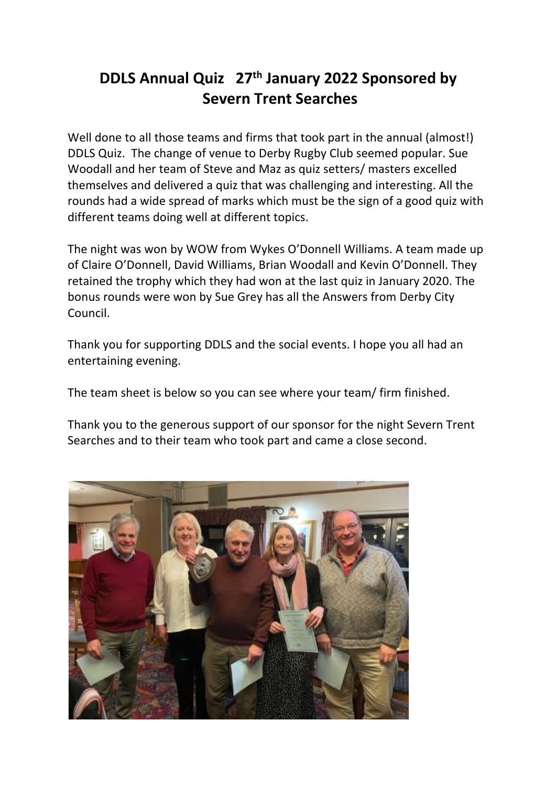## **DDLS Annual Quiz 27th January 2022 Sponsored by Severn Trent Searches**

Well done to all those teams and firms that took part in the annual (almost!) DDLS Quiz. The change of venue to Derby Rugby Club seemed popular. Sue Woodall and her team of Steve and Maz as quiz setters/ masters excelled themselves and delivered a quiz that was challenging and interesting. All the rounds had a wide spread of marks which must be the sign of a good quiz with different teams doing well at different topics.

The night was won by WOW from Wykes O'Donnell Williams. A team made up of Claire O'Donnell, David Williams, Brian Woodall and Kevin O'Donnell. They retained the trophy which they had won at the last quiz in January 2020. The bonus rounds were won by Sue Grey has all the Answers from Derby City Council.

Thank you for supporting DDLS and the social events. I hope you all had an entertaining evening.

The team sheet is below so you can see where your team/ firm finished.

Thank you to the generous support of our sponsor for the night Severn Trent Searches and to their team who took part and came a close second.